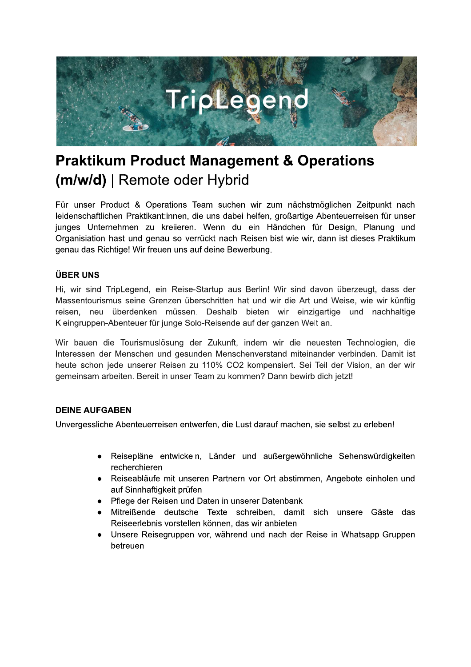

# **Praktikum Product Management & Operations** (m/w/d) | Remote oder Hybrid

Für unser Product & Operations Team suchen wir zum nächstmöglichen Zeitpunkt nach leidenschaftlichen Praktikant:innen, die uns dabei helfen, großartige Abenteuerreisen für unser junges Unternehmen zu kreiieren. Wenn du ein Händchen für Design, Planung und Organisiation hast und genau so verrückt nach Reisen bist wie wir, dann ist dieses Praktikum genau das Richtige! Wir freuen uns auf deine Bewerbung.

## **ÜBER UNS**

Hi, wir sind TripLegend, ein Reise-Startup aus Berlin! Wir sind davon überzeugt, dass der Massentourismus seine Grenzen überschritten hat und wir die Art und Weise, wie wir künftig reisen, neu überdenken müssen. Deshalb bieten wir einzigartige und nachhaltige Kleingruppen-Abenteuer für junge Solo-Reisende auf der ganzen Welt an.

Wir bauen die Tourismuslösung der Zukunft, indem wir die neuesten Technologien, die Interessen der Menschen und gesunden Menschenverstand miteinander verbinden. Damit ist heute schon jede unserer Reisen zu 110% CO2 kompensiert. Sei Teil der Vision, an der wir gemeinsam arbeiten. Bereit in unser Team zu kommen? Dann bewirb dich jetzt!

## **DEINE AUFGABEN**

Unvergessliche Abenteuerreisen entwerfen, die Lust darauf machen, sie selbst zu erleben!

- Reisepläne entwickeln, Länder und außergewöhnliche Sehenswürdigkeiten recherchieren
- Reiseabläufe mit unseren Partnern vor Ort abstimmen, Angebote einholen und auf Sinnhaftigkeit prüfen
- Pflege der Reisen und Daten in unserer Datenbank
- Mitreißende deutsche Texte schreiben, damit sich unsere Gäste das Reiseerlebnis vorstellen können, das wir anbieten
- Unsere Reisegruppen vor, während und nach der Reise in Whatsapp Gruppen  $\bullet$ betreuen